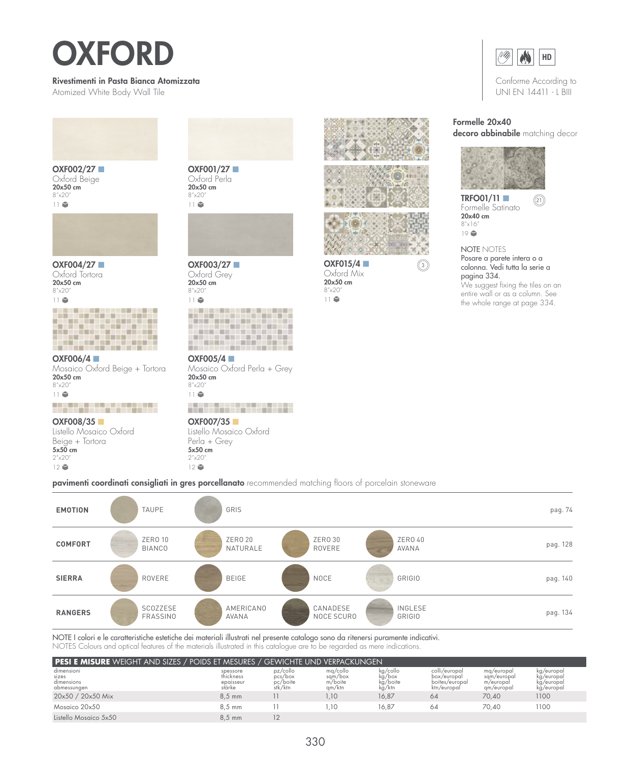## OXFORD

## Rivestimenti in Pasta Bianca Atomizzata

Atomized White Body Wall Tile



OXF002/27 ■ Oxford Beige 20x50 cm 8"x20" 11



OXF004/27 ■ Oxford Tortora 20x50 cm 8"x20"



OXF006/4 ■ Mosaico Oxford Beige + Tortora 20x50 cm 8"x20" 11

أموال موارد الموارد الموارد OXF008/35 ■ Listello Mosaico Oxford Beige + Tortora 5x50 cm  $2''x20$  $12$ 

OXF001/27 ■ Oxford Perla 20x50 cm 8"x20" 11



OXF003/27 ■ Oxford Grey 20x50 cm 8"x20" 11

OXF005/4 ■ Mosaico Oxford Perla + Grey 20x50 cm 8"x20" 11



OXF007/35 ■ Listello Mosaico Oxford Perla + Grey 5x50 cm 2"x20"  $12$ 







OXF015/4 Oxford Mix 20x50 cm 8"x20" 11



Conforme According to UNI EN 14411 - L BIII

## Formelle 20x40

decoro abbinabile matching decor



TRFO01/11 ■ <sup>21</sup> Formelle Satinato 20x40 cm 8"x16" 19

NOTE NOTES Posare a parete intera o a colonna. Vedi tutta la serie a pagina 334. We suggest fixing the tiles on an entire wall or as a column. See the whole range at page 334.

pavimenti coordinati consigliati in gres porcellanato recommended matching floors of porcelain stoneware



NOTE I colori e le caratteristiche estetiche dei materiali illustrati nel presente catalogo sono da ritenersi puramente indicativi. NOTES Colours and optical features of the materials illustrated in this catalogue are to be regarded as mere indications.

| <b>PESI E MISURE</b> WEIGHT AND SIZES / POIDS ET MESURES / GEWICHTE UND VERPACKUNGEN |                                              |                                            |                                          |                                          |                                                               |                                                      |                                                      |
|--------------------------------------------------------------------------------------|----------------------------------------------|--------------------------------------------|------------------------------------------|------------------------------------------|---------------------------------------------------------------|------------------------------------------------------|------------------------------------------------------|
| dimensioni<br>sizes<br>dimensions<br>abmessungen                                     | spessore<br>thickness<br>epaisseur<br>stärke | pz/collo<br>pcs/box<br>pc/boite<br>stk/ktn | mg/collo<br>sqm/box<br>m/boite<br>gm/ktn | kg/collo<br>kg/box<br>kg/boite<br>kg/ktn | colli/europal<br>box/europal<br>boites/europal<br>ktn/europal | ma/europal<br>sam/europal<br>m/europal<br>gm/europal | kg/europal<br>kg/europal<br>kg/europal<br>kg/europal |
| 20x50 / 20x50 Mix                                                                    | $8.5$ mm                                     |                                            | .10                                      | 16.87                                    | 64                                                            | 70.40                                                | 1100                                                 |
| Mosgico 20x50                                                                        | $8.5 \text{ mm}$                             |                                            | .10                                      | 16.87                                    | 64                                                            | 70.40                                                | 1100                                                 |
| Listello Mosgico 5x50                                                                | $8.5 \text{ mm}$                             |                                            |                                          |                                          |                                                               |                                                      |                                                      |